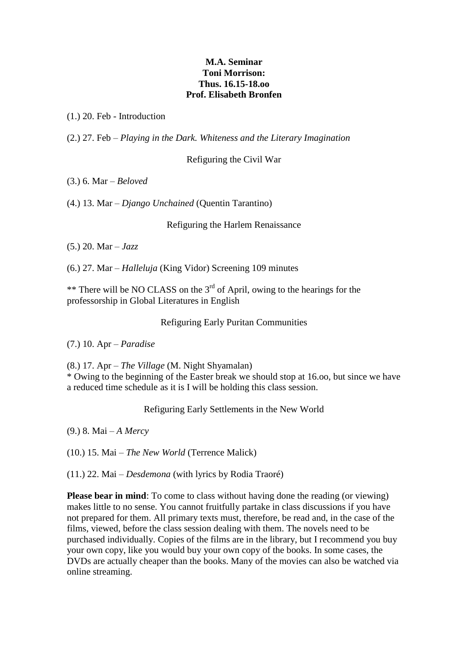## **M.A. Seminar Toni Morrison: Thus. 16.15-18.oo Prof. Elisabeth Bronfen**

(1.) 20. Feb - Introduction

(2.) 27. Feb – *Playing in the Dark. Whiteness and the Literary Imagination*

Refiguring the Civil War

(3.) 6. Mar – *Beloved*

(4.) 13. Mar – *Django Unchained* (Quentin Tarantino)

Refiguring the Harlem Renaissance

(5.) 20. Mar – *Jazz*

(6.) 27. Mar – *Halleluja* (King Vidor) Screening 109 minutes

\*\* There will be NO CLASS on the  $3<sup>rd</sup>$  of April, owing to the hearings for the professorship in Global Literatures in English

Refiguring Early Puritan Communities

(7.) 10. Apr – *Paradise*

(8.) 17. Apr – *The Village* (M. Night Shyamalan)

\* Owing to the beginning of the Easter break we should stop at 16.oo, but since we have a reduced time schedule as it is I will be holding this class session.

Refiguring Early Settlements in the New World

(9.) 8. Mai – *A Mercy*

(10.) 15. Mai – *The New World* (Terrence Malick)

(11.) 22. Mai – *Desdemona* (with lyrics by Rodia Traoré)

**Please bear in mind**: To come to class without having done the reading (or viewing) makes little to no sense. You cannot fruitfully partake in class discussions if you have not prepared for them. All primary texts must, therefore, be read and, in the case of the films, viewed, before the class session dealing with them. The novels need to be purchased individually. Copies of the films are in the library, but I recommend you buy your own copy, like you would buy your own copy of the books. In some cases, the DVDs are actually cheaper than the books. Many of the movies can also be watched via online streaming.